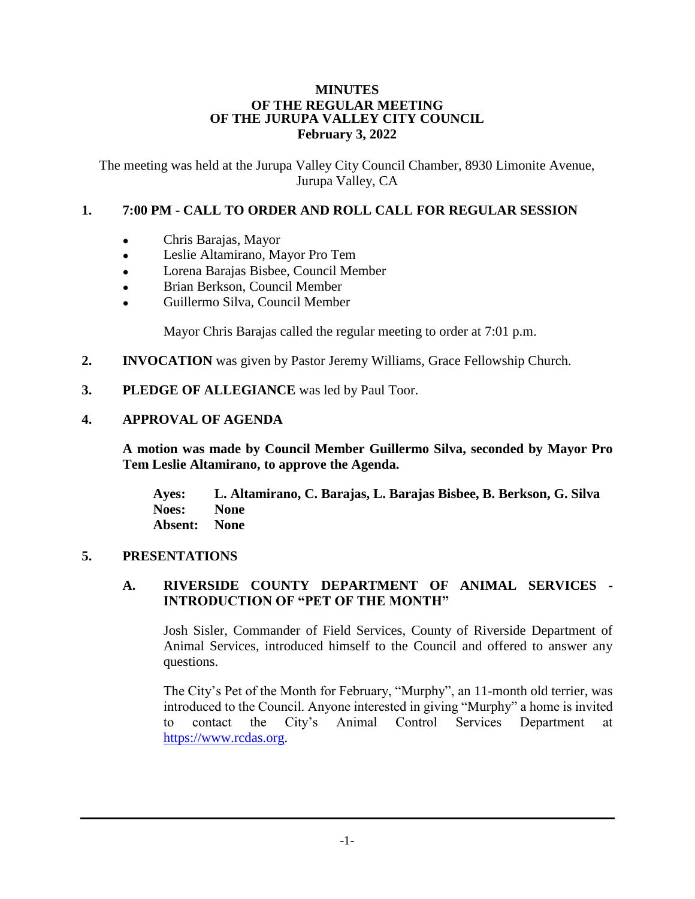#### **MINUTES OF THE REGULAR MEETING OF THE JURUPA VALLEY CITY COUNCIL February 3, 2022**

The meeting was held at the Jurupa Valley City Council Chamber, 8930 Limonite Avenue, Jurupa Valley, CA

## **1. 7:00 PM - CALL TO ORDER AND ROLL CALL FOR REGULAR SESSION**

- Chris Barajas, Mayor
- Leslie Altamirano, Mayor Pro Tem
- Lorena Barajas Bisbee, Council Member
- Brian Berkson, Council Member
- Guillermo Silva, Council Member

Mayor Chris Barajas called the regular meeting to order at 7:01 p.m.

- **2. INVOCATION** was given by Pastor Jeremy Williams, Grace Fellowship Church.
- **3. PLEDGE OF ALLEGIANCE** was led by Paul Toor.

## **4. APPROVAL OF AGENDA**

**A motion was made by Council Member Guillermo Silva, seconded by Mayor Pro Tem Leslie Altamirano, to approve the Agenda.**

**Ayes: L. Altamirano, C. Barajas, L. Barajas Bisbee, B. Berkson, G. Silva Noes: None Absent: None**

## **5. PRESENTATIONS**

## **A. RIVERSIDE COUNTY DEPARTMENT OF ANIMAL SERVICES - INTRODUCTION OF "PET OF THE MONTH"**

Josh Sisler, Commander of Field Services, County of Riverside Department of Animal Services, introduced himself to the Council and offered to answer any questions.

The City's Pet of the Month for February, "Murphy", an 11-month old terrier, was introduced to the Council. Anyone interested in giving "Murphy" a home is invited to contact the City's Animal Control Services Department at [https://www.rcdas.org.](https://www.rcdas.org/)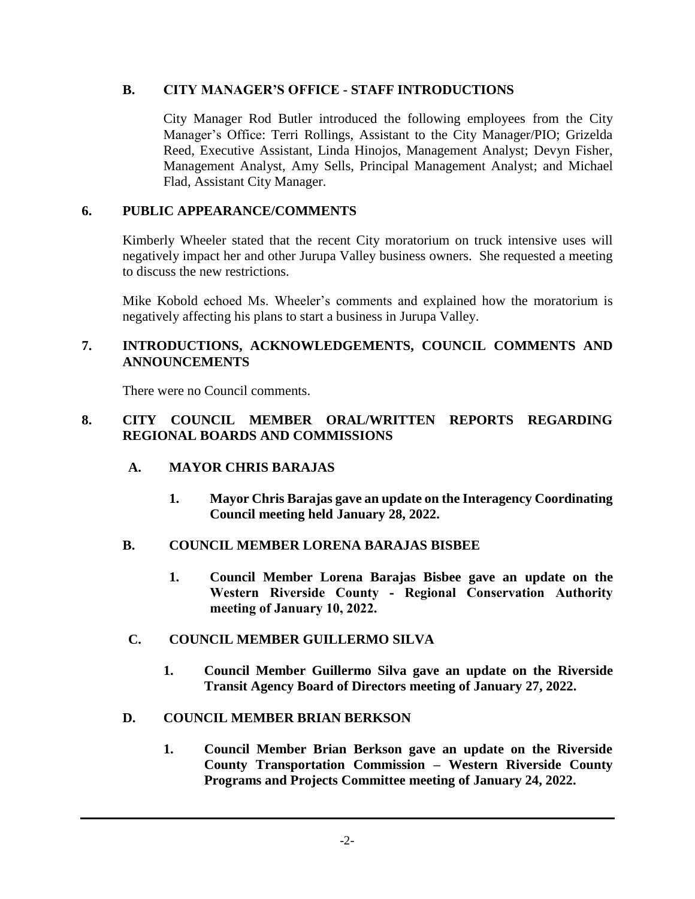## **B. CITY MANAGER'S OFFICE - STAFF INTRODUCTIONS**

City Manager Rod Butler introduced the following employees from the City Manager's Office: Terri Rollings, Assistant to the City Manager/PIO; Grizelda Reed, Executive Assistant, Linda Hinojos, Management Analyst; Devyn Fisher, Management Analyst, Amy Sells, Principal Management Analyst; and Michael Flad, Assistant City Manager.

## **6. PUBLIC APPEARANCE/COMMENTS**

Kimberly Wheeler stated that the recent City moratorium on truck intensive uses will negatively impact her and other Jurupa Valley business owners. She requested a meeting to discuss the new restrictions.

Mike Kobold echoed Ms. Wheeler's comments and explained how the moratorium is negatively affecting his plans to start a business in Jurupa Valley.

## **7. INTRODUCTIONS, ACKNOWLEDGEMENTS, COUNCIL COMMENTS AND ANNOUNCEMENTS**

There were no Council comments.

## **8. CITY COUNCIL MEMBER ORAL/WRITTEN REPORTS REGARDING REGIONAL BOARDS AND COMMISSIONS**

## **A. MAYOR CHRIS BARAJAS**

**1. Mayor Chris Barajas gave an update on the Interagency Coordinating Council meeting held January 28, 2022.**

## **B. COUNCIL MEMBER LORENA BARAJAS BISBEE**

**1. Council Member Lorena Barajas Bisbee gave an update on the Western Riverside County - Regional Conservation Authority meeting of January 10, 2022.**

## **C. COUNCIL MEMBER GUILLERMO SILVA**

**1. Council Member Guillermo Silva gave an update on the Riverside Transit Agency Board of Directors meeting of January 27, 2022.**

# **D. COUNCIL MEMBER BRIAN BERKSON**

**1. Council Member Brian Berkson gave an update on the Riverside County Transportation Commission – Western Riverside County Programs and Projects Committee meeting of January 24, 2022.**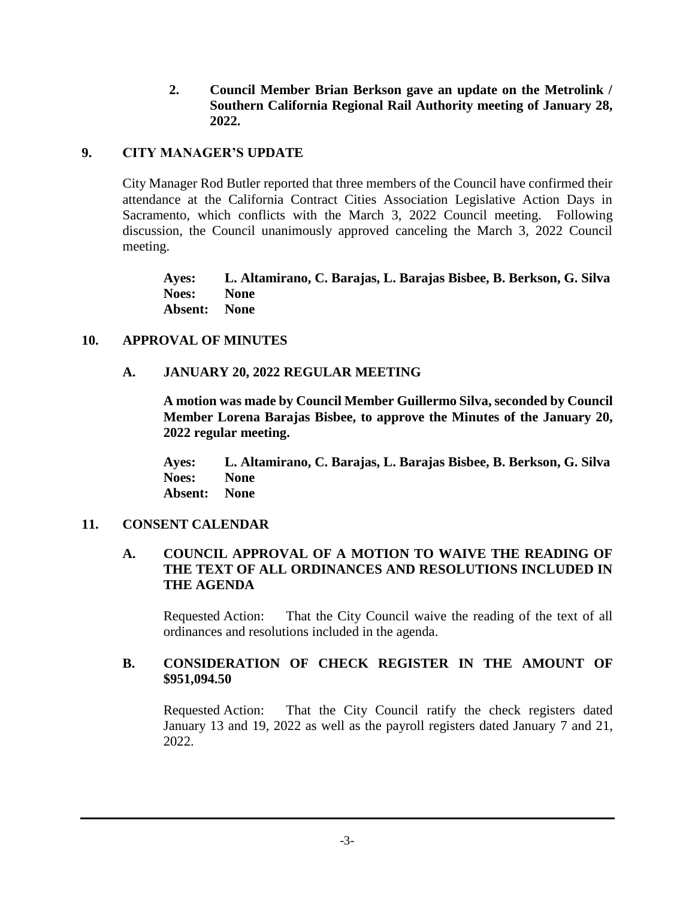**2. Council Member Brian Berkson gave an update on the Metrolink / Southern California Regional Rail Authority meeting of January 28, 2022.**

## **9. CITY MANAGER'S UPDATE**

City Manager Rod Butler reported that three members of the Council have confirmed their attendance at the California Contract Cities Association Legislative Action Days in Sacramento, which conflicts with the March 3, 2022 Council meeting. Following discussion, the Council unanimously approved canceling the March 3, 2022 Council meeting.

**Ayes: L. Altamirano, C. Barajas, L. Barajas Bisbee, B. Berkson, G. Silva Noes: None Absent: None**

#### **10. APPROVAL OF MINUTES**

#### **A. JANUARY 20, 2022 REGULAR MEETING**

**A motion was made by Council Member Guillermo Silva, seconded by Council Member Lorena Barajas Bisbee, to approve the Minutes of the January 20, 2022 regular meeting.**

**Ayes: L. Altamirano, C. Barajas, L. Barajas Bisbee, B. Berkson, G. Silva Noes: None Absent: None**

#### **11. CONSENT CALENDAR**

### **A. COUNCIL APPROVAL OF A MOTION TO WAIVE THE READING OF THE TEXT OF ALL ORDINANCES AND RESOLUTIONS INCLUDED IN THE AGENDA**

Requested Action: That the City Council waive the reading of the text of all ordinances and resolutions included in the agenda.

#### **B. CONSIDERATION OF CHECK REGISTER IN THE AMOUNT OF \$951,094.50**

Requested Action: That the City Council ratify the check registers dated January 13 and 19, 2022 as well as the payroll registers dated January 7 and 21, 2022.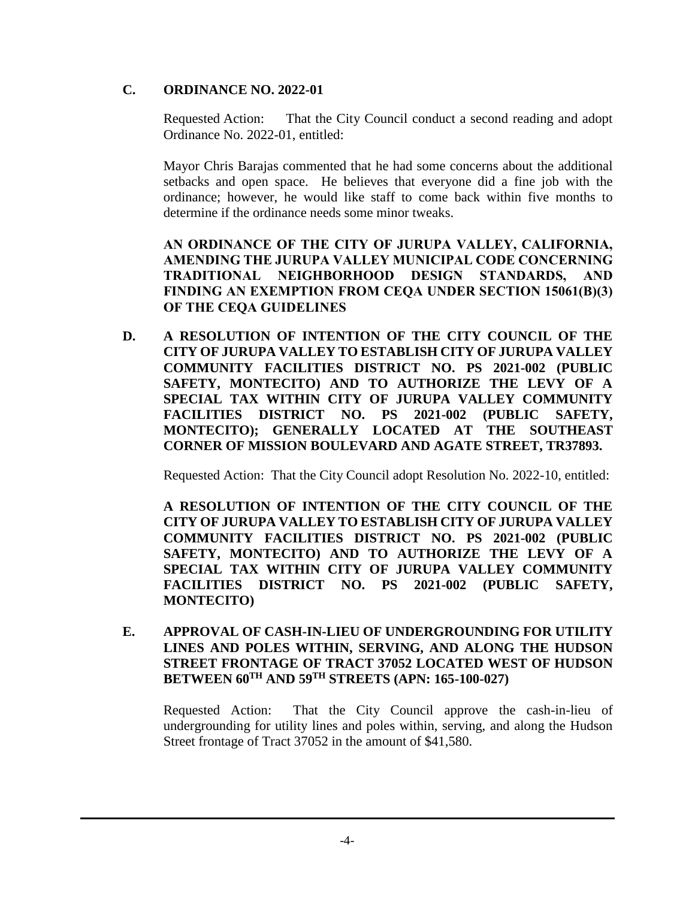## **C. ORDINANCE NO. 2022-01**

Requested Action: That the City Council conduct a second reading and adopt Ordinance No. 2022-01, entitled:

Mayor Chris Barajas commented that he had some concerns about the additional setbacks and open space. He believes that everyone did a fine job with the ordinance; however, he would like staff to come back within five months to determine if the ordinance needs some minor tweaks.

**AN ORDINANCE OF THE CITY OF JURUPA VALLEY, CALIFORNIA, AMENDING THE JURUPA VALLEY MUNICIPAL CODE CONCERNING TRADITIONAL NEIGHBORHOOD DESIGN STANDARDS, AND FINDING AN EXEMPTION FROM CEQA UNDER SECTION 15061(B)(3) OF THE CEQA GUIDELINES**

**D. A RESOLUTION OF INTENTION OF THE CITY COUNCIL OF THE CITY OF JURUPA VALLEY TO ESTABLISH CITY OF JURUPA VALLEY COMMUNITY FACILITIES DISTRICT NO. PS 2021-002 (PUBLIC SAFETY, MONTECITO) AND TO AUTHORIZE THE LEVY OF A SPECIAL TAX WITHIN CITY OF JURUPA VALLEY COMMUNITY FACILITIES DISTRICT NO. PS 2021-002 (PUBLIC SAFETY, MONTECITO); GENERALLY LOCATED AT THE SOUTHEAST CORNER OF MISSION BOULEVARD AND AGATE STREET, TR37893.**

Requested Action: That the City Council adopt Resolution No. 2022-10, entitled:

**A RESOLUTION OF INTENTION OF THE CITY COUNCIL OF THE CITY OF JURUPA VALLEY TO ESTABLISH CITY OF JURUPA VALLEY COMMUNITY FACILITIES DISTRICT NO. PS 2021-002 (PUBLIC SAFETY, MONTECITO) AND TO AUTHORIZE THE LEVY OF A SPECIAL TAX WITHIN CITY OF JURUPA VALLEY COMMUNITY FACILITIES DISTRICT NO. PS 2021-002 (PUBLIC SAFETY, MONTECITO)**

**E. APPROVAL OF CASH-IN-LIEU OF UNDERGROUNDING FOR UTILITY LINES AND POLES WITHIN, SERVING, AND ALONG THE HUDSON STREET FRONTAGE OF TRACT 37052 LOCATED WEST OF HUDSON BETWEEN 60TH AND 59TH STREETS (APN: 165-100-027)**

Requested Action: That the City Council approve the cash-in-lieu of undergrounding for utility lines and poles within, serving, and along the Hudson Street frontage of Tract 37052 in the amount of \$41,580.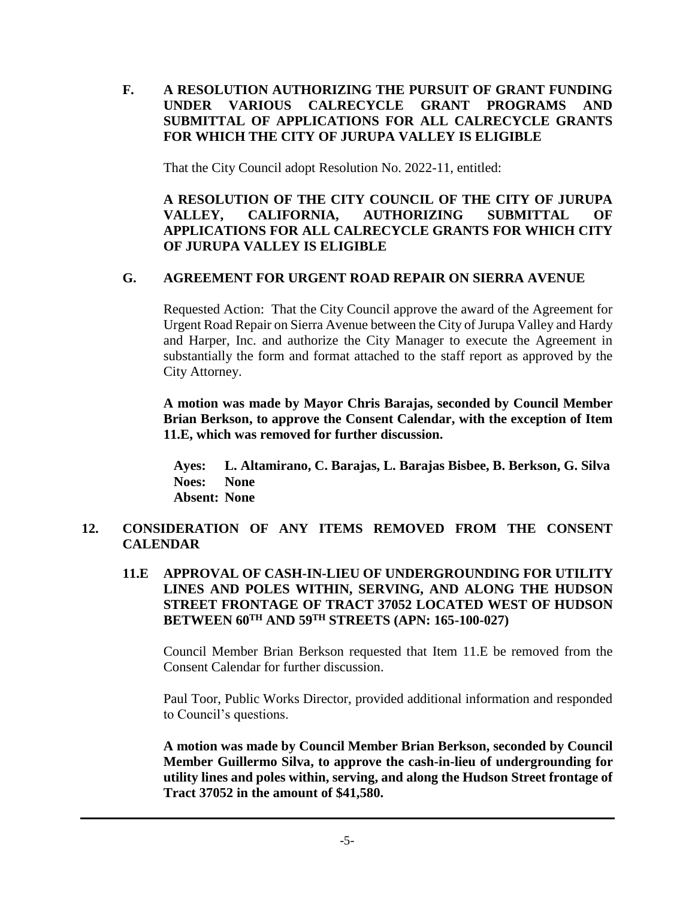## **F. A RESOLUTION AUTHORIZING THE PURSUIT OF GRANT FUNDING UNDER VARIOUS CALRECYCLE GRANT PROGRAMS AND SUBMITTAL OF APPLICATIONS FOR ALL CALRECYCLE GRANTS FOR WHICH THE CITY OF JURUPA VALLEY IS ELIGIBLE**

That the City Council adopt Resolution No. 2022-11, entitled:

**A RESOLUTION OF THE CITY COUNCIL OF THE CITY OF JURUPA VALLEY, CALIFORNIA, AUTHORIZING SUBMITTAL OF APPLICATIONS FOR ALL CALRECYCLE GRANTS FOR WHICH CITY OF JURUPA VALLEY IS ELIGIBLE**

## **G. AGREEMENT FOR URGENT ROAD REPAIR ON SIERRA AVENUE**

Requested Action: That the City Council approve the award of the Agreement for Urgent Road Repair on Sierra Avenue between the City of Jurupa Valley and Hardy and Harper, Inc. and authorize the City Manager to execute the Agreement in substantially the form and format attached to the staff report as approved by the City Attorney.

**A motion was made by Mayor Chris Barajas, seconded by Council Member Brian Berkson, to approve the Consent Calendar, with the exception of Item 11.E, which was removed for further discussion.**

**Ayes: L. Altamirano, C. Barajas, L. Barajas Bisbee, B. Berkson, G. Silva Noes: None Absent: None**

# **12. CONSIDERATION OF ANY ITEMS REMOVED FROM THE CONSENT CALENDAR**

**11.E APPROVAL OF CASH-IN-LIEU OF UNDERGROUNDING FOR UTILITY LINES AND POLES WITHIN, SERVING, AND ALONG THE HUDSON STREET FRONTAGE OF TRACT 37052 LOCATED WEST OF HUDSON BETWEEN 60TH AND 59TH STREETS (APN: 165-100-027)**

Council Member Brian Berkson requested that Item 11.E be removed from the Consent Calendar for further discussion.

Paul Toor, Public Works Director, provided additional information and responded to Council's questions.

**A motion was made by Council Member Brian Berkson, seconded by Council Member Guillermo Silva, to approve the cash-in-lieu of undergrounding for utility lines and poles within, serving, and along the Hudson Street frontage of Tract 37052 in the amount of \$41,580.**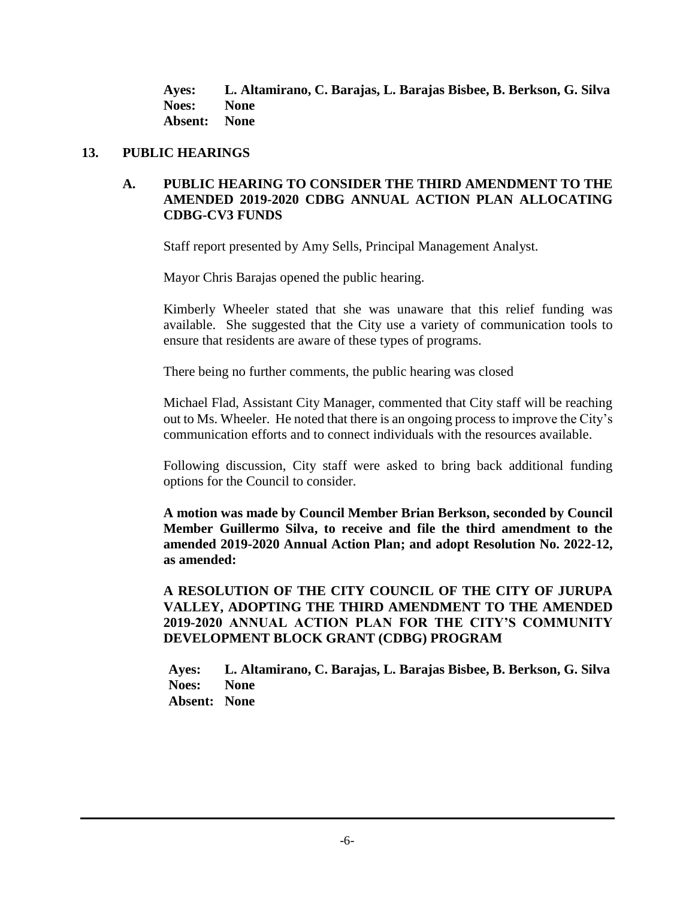**Ayes: L. Altamirano, C. Barajas, L. Barajas Bisbee, B. Berkson, G. Silva Noes: None Absent: None**

#### **13. PUBLIC HEARINGS**

## **A. PUBLIC HEARING TO CONSIDER THE THIRD AMENDMENT TO THE AMENDED 2019-2020 CDBG ANNUAL ACTION PLAN ALLOCATING CDBG-CV3 FUNDS**

Staff report presented by Amy Sells, Principal Management Analyst.

Mayor Chris Barajas opened the public hearing.

Kimberly Wheeler stated that she was unaware that this relief funding was available. She suggested that the City use a variety of communication tools to ensure that residents are aware of these types of programs.

There being no further comments, the public hearing was closed

Michael Flad, Assistant City Manager, commented that City staff will be reaching out to Ms. Wheeler. He noted that there is an ongoing process to improve the City's communication efforts and to connect individuals with the resources available.

Following discussion, City staff were asked to bring back additional funding options for the Council to consider.

**A motion was made by Council Member Brian Berkson, seconded by Council Member Guillermo Silva, to receive and file the third amendment to the amended 2019-2020 Annual Action Plan; and adopt Resolution No. 2022-12, as amended:**

**A RESOLUTION OF THE CITY COUNCIL OF THE CITY OF JURUPA VALLEY, ADOPTING THE THIRD AMENDMENT TO THE AMENDED 2019-2020 ANNUAL ACTION PLAN FOR THE CITY'S COMMUNITY DEVELOPMENT BLOCK GRANT (CDBG) PROGRAM**

**Ayes: L. Altamirano, C. Barajas, L. Barajas Bisbee, B. Berkson, G. Silva Noes: None Absent: None**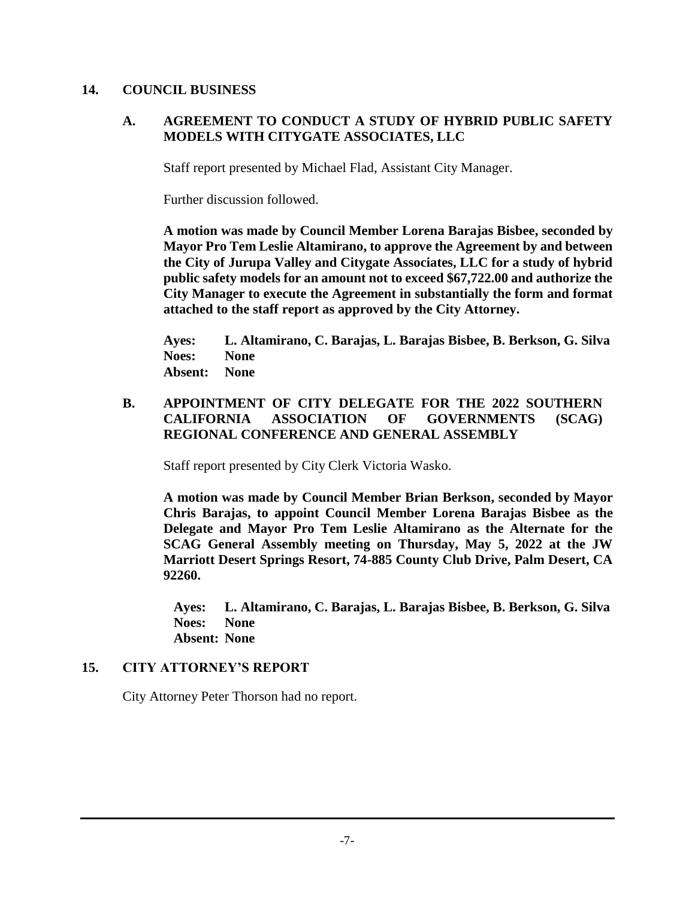#### **14. COUNCIL BUSINESS**

## **A. AGREEMENT TO CONDUCT A STUDY OF HYBRID PUBLIC SAFETY MODELS WITH CITYGATE ASSOCIATES, LLC**

Staff report presented by Michael Flad, Assistant City Manager.

Further discussion followed.

**A motion was made by Council Member Lorena Barajas Bisbee, seconded by Mayor Pro Tem Leslie Altamirano, to approve the Agreement by and between the City of Jurupa Valley and Citygate Associates, LLC for a study of hybrid public safety models for an amount not to exceed \$67,722.00 and authorize the City Manager to execute the Agreement in substantially the form and format attached to the staff report as approved by the City Attorney.**

**Ayes: L. Altamirano, C. Barajas, L. Barajas Bisbee, B. Berkson, G. Silva Noes: None Absent: None**

## **B. APPOINTMENT OF CITY DELEGATE FOR THE 2022 SOUTHERN CALIFORNIA ASSOCIATION OF GOVERNMENTS (SCAG) REGIONAL CONFERENCE AND GENERAL ASSEMBLY**

Staff report presented by City Clerk Victoria Wasko.

**A motion was made by Council Member Brian Berkson, seconded by Mayor Chris Barajas, to appoint Council Member Lorena Barajas Bisbee as the Delegate and Mayor Pro Tem Leslie Altamirano as the Alternate for the SCAG General Assembly meeting on Thursday, May 5, 2022 at the JW Marriott Desert Springs Resort, 74-885 County Club Drive, Palm Desert, CA 92260.**

**Ayes: L. Altamirano, C. Barajas, L. Barajas Bisbee, B. Berkson, G. Silva Noes: None Absent: None**

#### **15. CITY ATTORNEY'S REPORT**

City Attorney Peter Thorson had no report.